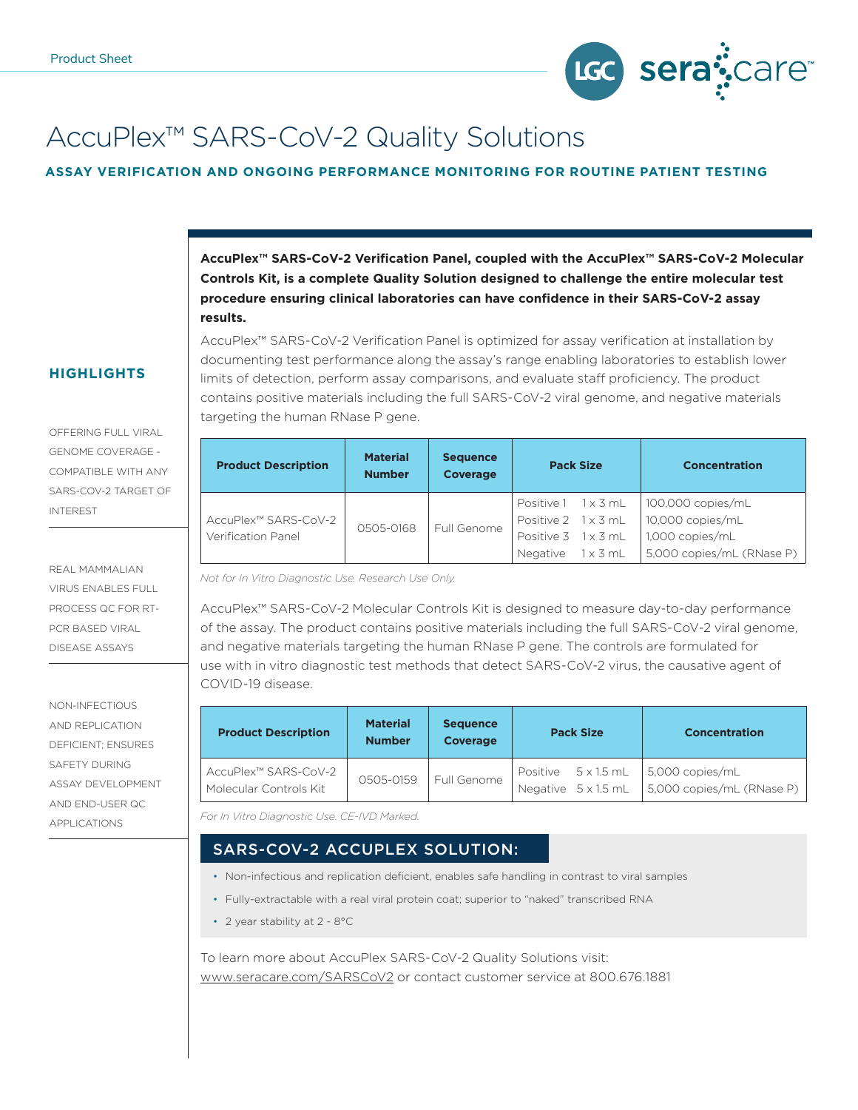

# AccuPlex™ SARS-CoV-2 Quality Solutions

#### **ASSAY VERIFICATION AND ONGOING PERFORMANCE MONITORING FOR ROUTINE PATIENT TESTING**

**AccuPlex™ SARS-CoV-2 Verification Panel, coupled with the AccuPlex™ SARS-CoV-2 Molecular Controls Kit, is a complete Quality Solution designed to challenge the entire molecular test procedure ensuring clinical laboratories can have confidence in their SARS-CoV-2 assay results.**

### **HIGHLIGHTS**

OFFERING FULL VIRAL GENOME COVERAGE - COMPATIBLE WITH ANY SARS-COV-2 TARGET OF INTEREST

REAL MAMMALIAN VIRUS ENABLES FULL PROCESS QC FOR RT-PCR BASED VIRAL DISEASE ASSAYS

NON-INFECTIOUS AND REPLICATION DEFICIENT; ENSURES SAFETY DURING ASSAY DEVELOPMENT AND END-USER QC APPLICATIONS

AccuPlex™ SARS-CoV-2 Verification Panel is optimized for assay verification at installation by documenting test performance along the assay's range enabling laboratories to establish lower limits of detection, perform assay comparisons, and evaluate staff proficiency. The product contains positive materials including the full SARS-CoV-2 viral genome, and negative materials targeting the human RNase P gene.

| <b>Product Description</b>                 | <b>Material</b><br><b>Number</b> | <b>Sequence</b><br><b>Coverage</b> | <b>Pack Size</b>                                |  | <b>Concentration</b>                         |
|--------------------------------------------|----------------------------------|------------------------------------|-------------------------------------------------|--|----------------------------------------------|
| AccuPlex™ SARS-CoV-2<br>Verification Panel | 0505-0168                        | Full Genome                        | Positive 1 1 x 3 mL<br>Positive 2 1 x 3 mL      |  | 100,000 copies/mL<br>10,000 copies/mL        |
|                                            |                                  |                                    | Positive 3 1 x 3 mL<br>Negative $1 \times 3$ mL |  | 1.000 copies/mL<br>5,000 copies/mL (RNase P) |

*Not for In Vitro Diagnostic Use. Research Use Only.*

AccuPlex™ SARS-CoV-2 Molecular Controls Kit is designed to measure day-to-day performance of the assay. The product contains positive materials including the full SARS-CoV-2 viral genome, and negative materials targeting the human RNase P gene. The controls are formulated for use with in vitro diagnostic test methods that detect SARS-CoV-2 virus, the causative agent of COVID-19 disease.

| <b>Product Description</b>                     | <b>Material</b><br><b>Number</b> | <b>Sequence</b><br><b>Coverage</b> | <b>Pack Size</b> |                                            | <b>Concentration</b>                         |
|------------------------------------------------|----------------------------------|------------------------------------|------------------|--------------------------------------------|----------------------------------------------|
| AccuPlex™ SARS-CoV-2<br>Molecular Controls Kit | 0505-0159                        | Full Genome                        |                  | Positive 5 x 1.5 mL<br>Negative 5 x 1.5 mL | 5,000 copies/mL<br>5,000 copies/mL (RNase P) |

*For In Vitro Diagnostic Use. CE-IVD Marked.*

## SARS-COV-2 ACCUPLEX SOLUTION:

- Non-infectious and replication deficient, enables safe handling in contrast to viral samples
- Fully-extractable with a real viral protein coat; superior to "naked" transcribed RNA
- 2 year stability at 2 8°C

To learn more about AccuPlex SARS-CoV-2 Quality Solutions visit: www.seracare.com/SARSCoV2 or contact customer service at 800.676.1881